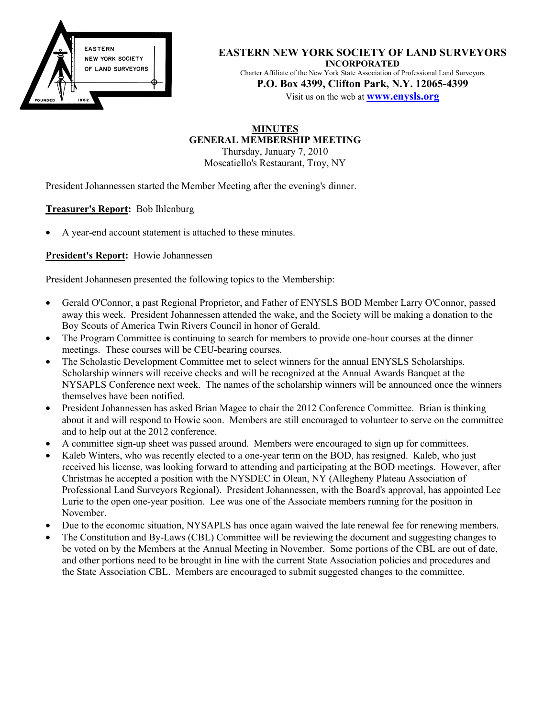

**EASTERN NEW YORK SOCIETY OF LAND SURVEYORS INCORPORATED** Charter Affiliate of the New York State Association of Professional Land Surveyors **P.O. Box 4399, Clifton Park, N.Y. 12065-4399** Visit us on the web at **www.enysls.org**

**MINUTES GENERAL MEMBERSHIP MEETING**

Thursday, January 7, 2010 Moscatiello's Restaurant, Troy, NY

President Johannessen started the Member Meeting after the evening's dinner.

**Treasurer's Report:** Bob Ihlenburg

• A year-end account statement is attached to these minutes.

**President's Report:** Howie Johannessen

President Johannesen presented the following topics to the Membership:

- Gerald O'Connor, a past Regional Proprietor, and Father of ENYSLS BOD Member Larry O'Connor, passed away this week. President Johannessen attended the wake, and the Society will be making a donation to the Boy Scouts of America Twin Rivers Council in honor of Gerald.
- The Program Committee is continuing to search for members to provide one-hour courses at the dinner meetings. These courses will be CEU-bearing courses.
- The Scholastic Development Committee met to select winners for the annual ENYSLS Scholarships. Scholarship winners will receive checks and will be recognized at the Annual Awards Banquet at the NYSAPLS Conference next week. The names of the scholarship winners will be announced once the winners themselves have been notified.
- President Johannessen has asked Brian Magee to chair the 2012 Conference Committee. Brian is thinking about it and will respond to Howie soon. Members are still encouraged to volunteer to serve on the committee and to help out at the 2012 conference.
- A committee sign-up sheet was passed around. Members were encouraged to sign up for committees.
- Kaleb Winters, who was recently elected to a one-year term on the BOD, has resigned. Kaleb, who just received his license, was looking forward to attending and participating at the BOD meetings. However, after Christmas he accepted a position with the NYSDEC in Olean, NY (Allegheny Plateau Association of Professional Land Surveyors Regional). President Johannessen, with the Board's approval, has appointed Lee Lurie to the open one-year position. Lee was one of the Associate members running for the position in November.
- Due to the economic situation, NYSAPLS has once again waived the late renewal fee for renewing members.
- The Constitution and By-Laws (CBL) Committee will be reviewing the document and suggesting changes to be voted on by the Members at the Annual Meeting in November. Some portions of the CBL are out of date, and other portions need to be brought in line with the current State Association policies and procedures and the State Association CBL. Members are encouraged to submit suggested changes to the committee.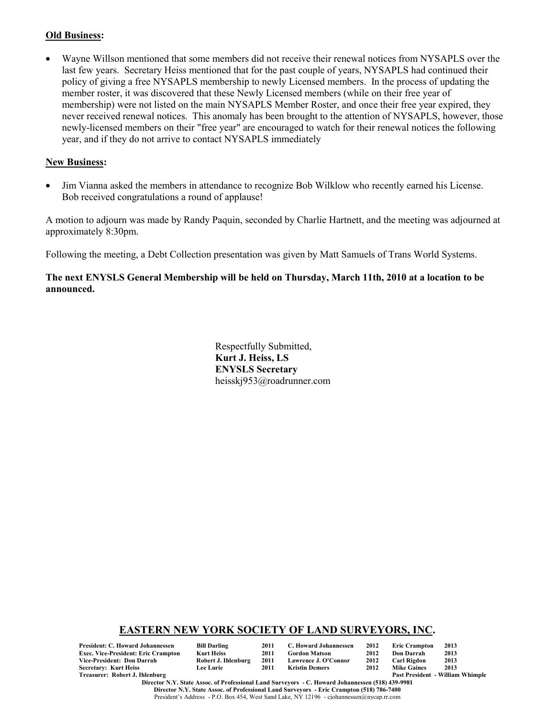#### **Old Business:**

• Wayne Willson mentioned that some members did not receive their renewal notices from NYSAPLS over the last few years. Secretary Heiss mentioned that for the past couple of years, NYSAPLS had continued their policy of giving a free NYSAPLS membership to newly Licensed members. In the process of updating the member roster, it was discovered that these Newly Licensed members (while on their free year of membership) were not listed on the main NYSAPLS Member Roster, and once their free year expired, they never received renewal notices. This anomaly has been brought to the attention of NYSAPLS, however, those newly-licensed members on their "free year" are encouraged to watch for their renewal notices the following year, and if they do not arrive to contact NYSAPLS immediately

#### **New Business:**

• Jim Vianna asked the members in attendance to recognize Bob Wilklow who recently earned his License. Bob received congratulations a round of applause!

A motion to adjourn was made by Randy Paquin, seconded by Charlie Hartnett, and the meeting was adjourned at approximately 8:30pm.

Following the meeting, a Debt Collection presentation was given by Matt Samuels of Trans World Systems.

### **The next ENYSLS General Membership will be held on Thursday, March 11th, 2010 at a location to be announced.**

Respectfully Submitted, **Kurt J. Heiss, LS ENYSLS Secretary** heisskj953@roadrunner.com

### **EASTERN NEW YORK SOCIETY OF LAND SURVEYORS, INC.**

| President: C. Howard Johannessen    | <b>Bill Darling</b> | 2011 | C. Howard Johannessen | 2012 | <b>Eric Crampton</b> | 2013                                    |
|-------------------------------------|---------------------|------|-----------------------|------|----------------------|-----------------------------------------|
| Exec. Vice-President: Eric Crampton | Kurt Heiss          | 2011 | <b>Gordon Matson</b>  | 2012 | Don Darrah           | 2013                                    |
| Vice-President: Don Darrah          | Robert J. Ihlenburg | 2011 | Lawrence J. O'Connor  | 2012 | Carl Rigdon          | 2013                                    |
| Secretary: Kurt Heiss               | <b>Lee Lurie</b>    | 2011 | Kristin Demers        | 2012 | <b>Mike Gaines</b>   | 2013                                    |
| Treasurer: Robert J. Ihlenburg      |                     |      |                       |      |                      | <b>Past President - William Whimple</b> |

**Director N.Y. State Assoc. of Professional Land Surveyors - C. Howard Johannessen (518) 439-9981 Director N.Y. State Assoc. of Professional Land Surveyors - Eric Crampton (518) 786-7400** President's Address - P.O. Box 454, West Sand Lake, NY 12196 - cjohannessen@nycap.rr.com